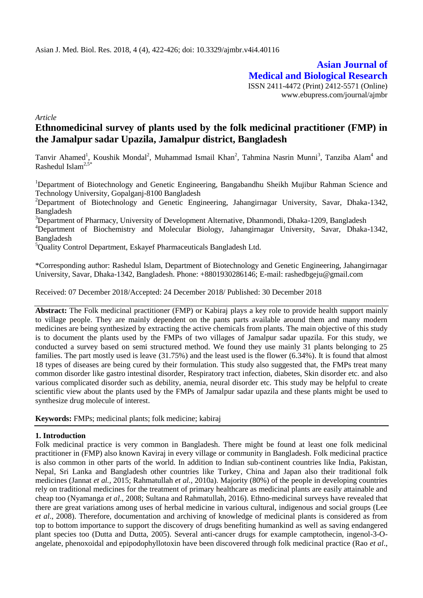**Asian Journal of Medical and Biological Research** ISSN 2411-4472 (Print) 2412-5571 (Online) www.ebupress.com/journal/ajmbr

*Article*

# **Ethnomedicinal survey of plants used by the folk medicinal practitioner (FMP) in the Jamalpur sadar Upazila, Jamalpur district, Bangladesh**

Tanvir Ahamed<sup>1</sup>, Koushik Mondal<sup>2</sup>, Muhammad Ismail Khan<sup>2</sup>, Tahmina Nasrin Munni<sup>3</sup>, Tanziba Alam<sup>4</sup> and Rashedul Islam<sup>2,5</sup>

<sup>1</sup>Department of Biotechnology and Genetic Engineering, Bangabandhu Sheikh Mujibur Rahman Science and Technology University, Gopalganj-8100 Bangladesh

<sup>2</sup>Department of Biotechnology and Genetic Engineering, Jahangirnagar University, Savar, Dhaka-1342, Bangladesh

<sup>3</sup>Department of Pharmacy, University of Development Alternative, Dhanmondi, Dhaka-1209, Bangladesh

<sup>4</sup>Department of Biochemistry and Molecular Biology, Jahangirnagar University, Savar, Dhaka-1342, Bangladesh

<sup>5</sup>Quality Control Department, Eskayef Pharmaceuticals Bangladesh Ltd.

\*Corresponding author: Rashedul Islam, Department of Biotechnology and Genetic Engineering, Jahangirnagar University, Savar, Dhaka-1342, Bangladesh. Phone: +8801930286146; E-mail: rashedbgeju@gmail.com

Received: 07 December 2018/Accepted: 24 December 2018/ Published: 30 December 2018

**Abstract:** The Folk medicinal practitioner (FMP) or Kabiraj plays a key role to provide health support mainly to village people. They are mainly dependent on the pants parts available around them and many modern medicines are being synthesized by extracting the active chemicals from plants. The main objective of this study is to document the plants used by the FMPs of two villages of Jamalpur sadar upazila. For this study, we conducted a survey based on semi structured method. We found they use mainly 31 plants belonging to 25 families. The part mostly used is leave (31.75%) and the least used is the flower (6.34%). It is found that almost 18 types of diseases are being cured by their formulation. This study also suggested that, the FMPs treat many common disorder like gastro intestinal disorder, Respiratory tract infection, diabetes, Skin disorder etc. and also various complicated disorder such as debility, anemia, neural disorder etc. This study may be helpful to create scientific view about the plants used by the FMPs of Jamalpur sadar upazila and these plants might be used to synthesize drug molecule of interest.

**Keywords:** FMPs; medicinal plants; folk medicine; kabiraj

### **1. Introduction**

Folk medicinal practice is very common in Bangladesh. There might be found at least one folk medicinal practitioner in (FMP) also known Kaviraj in every village or community in Bangladesh. Folk medicinal practice is also common in other parts of the world. In addition to Indian sub-continent countries like India, Pakistan, Nepal, Sri Lanka and Bangladesh other countries like Turkey, China and Japan also their traditional folk medicines (Jannat *et al.,* 2015; Rahmatullah *et al.,* 2010a). Majority (80%) of the people in developing countries rely on traditional medicines for the treatment of primary healthcare as medicinal plants are easily attainable and cheap too (Nyamanga *et al*., 2008; Sultana and Rahmatullah, 2016). Ethno-medicinal surveys have revealed that there are great variations among uses of herbal medicine in various cultural, indigenous and social groups (Lee *et al*., 2008). Therefore, documentation and archiving of knowledge of medicinal plants is considered as from top to bottom importance to support the discovery of drugs benefiting humankind as well as saving endangered plant species too (Dutta and Dutta, 2005). Several anti-cancer drugs for example camptothecin, ingenol-3-Oangelate, phenoxoidal and epipodophyllotoxin have been discovered through folk medicinal practice (Rao *et al*.,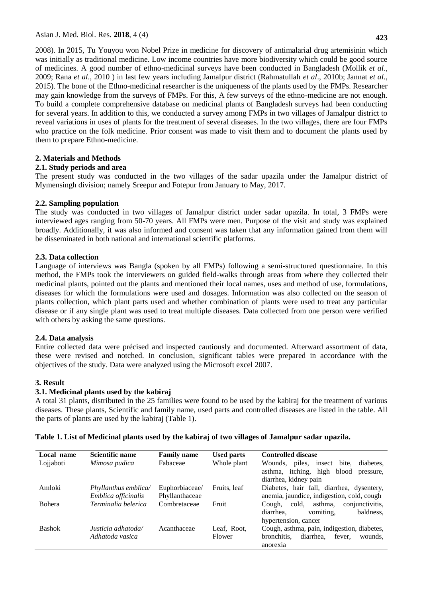**423**

2008). In 2015, Tu Youyou won Nobel Prize in medicine for discovery of antimalarial drug artemisinin which was initially as traditional medicine. Low income countries have more biodiversity which could be good source of medicines. A good number of ethno-medicinal surveys have been conducted in Bangladesh (Mollik *et al*., 2009; Rana *et al*., 2010 ) in last few years including Jamalpur district (Rahmatullah *et al*., 2010b; Jannat *et al.*, 2015). The bone of the Ethno-medicinal researcher is the uniqueness of the plants used by the FMPs. Researcher may gain knowledge from the surveys of FMPs. For this, A few surveys of the ethno-medicine are not enough. To build a complete comprehensive database on medicinal plants of Bangladesh surveys had been conducting for several years. In addition to this, we conducted a survey among FMPs in two villages of Jamalpur district to reveal variations in uses of plants for the treatment of several diseases. In the two villages, there are four FMPs who practice on the folk medicine. Prior consent was made to visit them and to document the plants used by them to prepare Ethno-medicine.

# **2. Materials and Methods**

# **2.1. Study periods and area**

The present study was conducted in the two villages of the sadar upazila under the Jamalpur district of Mymensingh division; namely Sreepur and Fotepur from January to May, 2017.

# **2.2. Sampling population**

The study was conducted in two villages of Jamalpur district under sadar upazila. In total, 3 FMPs were interviewed ages ranging from 50-70 years. All FMPs were men. Purpose of the visit and study was explained broadly. Additionally, it was also informed and consent was taken that any information gained from them will be disseminated in both national and international scientific platforms.

# **2.3. Data collection**

Language of interviews was Bangla (spoken by all FMPs) following a semi-structured questionnaire. In this method, the FMPs took the interviewers on guided field-walks through areas from where they collected their medicinal plants, pointed out the plants and mentioned their local names, uses and method of use, formulations, diseases for which the formulations were used and dosages. Information was also collected on the season of plants collection, which plant parts used and whether combination of plants were used to treat any particular disease or if any single plant was used to treat multiple diseases. Data collected from one person were verified with others by asking the same questions.

# **2.4. Data analysis**

Entire collected data were précised and inspected cautiously and documented. Afterward assortment of data, these were revised and notched. In conclusion, significant tables were prepared in accordance with the objectives of the study. Data were analyzed using the Microsoft excel 2007.

### **3. Result**

# **3.1. Medicinal plants used by the kabiraj**

A total 31 plants, distributed in the 25 families were found to be used by the kabiraj for the treatment of various diseases. These plants, Scientific and family name, used parts and controlled diseases are listed in the table. All the parts of plants are used by the kabiraj (Table 1).

| Local name    | <b>Scientific name</b> | <b>Family name</b> | <b>Used parts</b> | <b>Controlled disease</b>                      |
|---------------|------------------------|--------------------|-------------------|------------------------------------------------|
| Lojjaboti     | Mimosa pudica          | Fabaceae           | Whole plant       | insect<br>bite,<br>diabetes.<br>Wounds, piles, |
|               |                        |                    |                   | high blood<br>asthma, itching,<br>pressure,    |
|               |                        |                    |                   | diarrhea, kidney pain                          |
| Amloki        | Phyllanthus emblica/   | Euphorbiaceae/     | Fruits, leaf      | Diabetes, hair fall, diarrhea, dysentery,      |
|               | Emblica officinalis    | Phyllanthaceae     |                   | anemia, jaundice, indigestion, cold, cough     |
| <b>Bohera</b> | Terminalia belerica    | Combretaceae       | Fruit             | conjunctivitis.<br>asthma.<br>cold,<br>Cough.  |
|               |                        |                    |                   | vomiting,<br>baldness,<br>diarrhea.            |
|               |                        |                    |                   | hypertension, cancer                           |
| <b>Bashok</b> | Justicia adhatoda/     | Acanthaceae        | Leaf, Root,       | Cough, asthma, pain, indigestion, diabetes,    |
|               | Adhatoda vasica        |                    | Flower            | bronchitis.<br>diarrhea,<br>fever,<br>wounds.  |
|               |                        |                    |                   | anorexia                                       |

### **Table 1. List of Medicinal plants used by the kabiraj of two villages of Jamalpur sadar upazila.**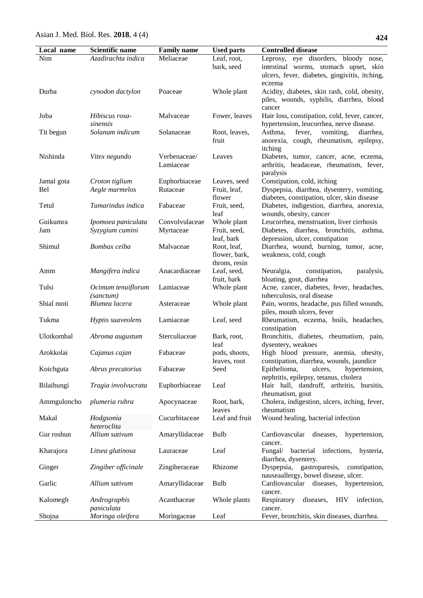| Local name      | <b>Scientific name</b>                | <b>Family name</b>          | <b>Used parts</b>                                           | <b>Controlled disease</b>                                                                                                      |
|-----------------|---------------------------------------|-----------------------------|-------------------------------------------------------------|--------------------------------------------------------------------------------------------------------------------------------|
| Nim             | Azadirachta indica                    | Meliaceae                   | Leaf, root,<br>bark, seed                                   | Leprosy, eye disorders, bloody nose,<br>intestinal worms, stomach upset, skin<br>ulcers, fever, diabetes, gingivitis, itching, |
| Durba           | cynodon dactylon                      | Poaceae                     | Whole plant                                                 | eczema<br>Acidity, diabetes, skin rash, cold, obesity,<br>piles, wounds, syphilis, diarrhea, blood<br>cancer                   |
| Joba            | Hibiscus rosa-<br>sinensis            | Malvaceae                   | Fower, leaves                                               | Hair loss, constipation, cold, fever, cancer,<br>hypertension, leucorrhea, nerve disease.                                      |
| Tit begun       | Solanum indicum                       | Solanaceae                  | Root, leaves,<br>fruit                                      | Asthma,<br>fever,<br>vomiting,<br>diarrhea,<br>anorexia, cough, rheumatism, epilepsy,<br>itching                               |
| Nishinda        | Vitex negundo                         | Verbenaceae/<br>Lamiaceae   | Leaves                                                      | Diabetes, tumor, cancer, acne, eczema,<br>arthritis, headaceae, rheumatism, fever,<br>paralysis                                |
| Jamal gota      | Croton tiglium                        | Euphorbiaceae               | Leaves, seed                                                | Constipation, cold, itching                                                                                                    |
| Bel             | Aegle marmelos                        | Rutaceae                    | Fruit, leaf,<br>flower                                      | Dyspepsia, diarrhea, dysentery, vomiting,<br>diabetes, constipation, ulcer, skin disease                                       |
| Tetul           | Tamarindus indica                     | Fabaceae                    | Fruit, seed,<br>leaf                                        | Diabetes, indigestion, diarrhea, anorexia,<br>wounds, obesity, cancer                                                          |
| Guikumra<br>Jam | Ipomoea paniculata<br>Syzygium cumini | Convolvulaceae<br>Myrtaceae | Whole plant<br>Fruit, seed,                                 | Leucorrhea, menstruation, liver cirrhosis<br>Diabetes, diarrhea, bronchitis, asthma,                                           |
| Shimul          | Bombax ceiba                          | Malvaceae                   | leaf, bark<br>Root, leaf,<br>flower, bark,<br>throns, resin | depression, ulcer, constipation<br>Diarrhea, wound, burning, tumor, acne,<br>weakness, cold, cough                             |
| Amm             | Mangifera indica                      | Anacardiaceae               | Leaf, seed,<br>fruit, bark                                  | Neuralgia,<br>constipation,<br>paralysis,<br>bloating, gout, diarrhea                                                          |
| Tulsi           | Ocimum tenuiflorum<br>(sanctum)       | Lamiaceae                   | Whole plant                                                 | Acne, cancer, diabetes, fever, headaches,<br>tuberculosis, oral disease                                                        |
| Shial moti      | Blumea lacera                         | Asteraceae                  | Whole plant                                                 | Pain, worms, headache, pus filled wounds,<br>piles, mouth ulcers, fever                                                        |
| Tukma           | Hyptis suaveolens                     | Lamiaceae                   | Leaf, seed                                                  | Rheumatism, eczema, boils, headaches,<br>constipation                                                                          |
| Ulotkombal      | Abroma augustum                       | Sterculiaceae               | Bark, root,<br>leaf                                         | Bronchitis, diabetes, rheumatism, pain,<br>dysentery, weaknes                                                                  |
| Arokkolai       | Cajanus cajan                         | Fabaceae                    | pods, shoots,<br>leaves, root                               | High blood pressure, anemia, obesity,<br>constipation, diarrhea, wounds, jaundice                                              |
| Koichguta       | Abrus precatorius                     | Fabaceae                    | Seed                                                        | Epithelioma,<br>ulcers,<br>hypertension,<br>nephritis, epilepsy, tetanus, cholera                                              |
| Bilaihungi      | Tragia involvucrata                   | Euphorbiaceae               | Leaf                                                        | Hair hall, dandruff, arthritis, bursitis,<br>rheumatism, gout                                                                  |
| Ammguloncho     | plumeria rubra                        | Apocynaceae                 | Root, bark,<br>leaves                                       | Cholera, indigestion, ulcers, itching, fever,<br>rheumatism                                                                    |
| Makal           | Hodgsonia<br>heteroclita              | Cucurbitaceae               | Leaf and fruit                                              | Wound healing, bacterial infection                                                                                             |
| Gur roshun      | Allium sativum                        | Amaryllidaceae              | <b>Bulb</b>                                                 | diseases,<br>Cardiovascular<br>hypertension,<br>cancer.                                                                        |
| Kharajora       | Litsea glutinosa                      | Lauraceae                   | Leaf                                                        | bacterial infections, hysteria,<br>Fungal/<br>diarrhea, dysentery.                                                             |
| Ginger          | Zingiber officinale                   | Zingiberaceae               | Rhizome                                                     | Dyspepsia, gastroparesis,<br>constipation,<br>nauseaallergy, bowel disease, ulcer.                                             |
| Garlic          | Allium sativum                        | Amaryllidaceae              | <b>Bulb</b>                                                 | Cardiovascular diseases,<br>hypertension,<br>cancer.                                                                           |
| Kalomegh        | Andrographis<br>paniculata            | Acanthaceae                 | Whole plants                                                | diseases,<br><b>HIV</b><br>infection,<br>Respiratory<br>cancer.                                                                |
| Shojna          | Moringa oleifera                      | Moringaceae                 | Leaf                                                        | Fever, bronchitis, skin diseases, diarrhea.                                                                                    |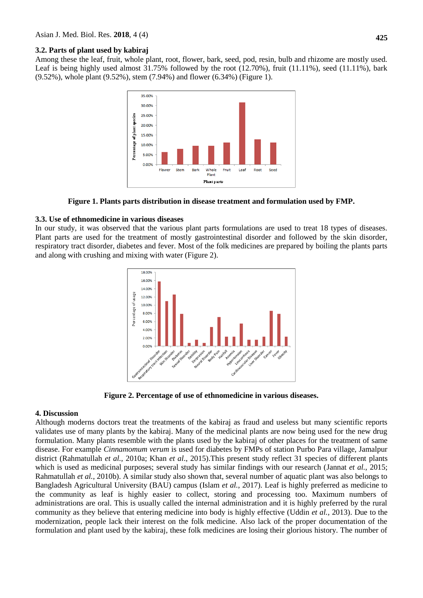#### **3.2. Parts of plant used by kabiraj**

Among these the leaf, fruit, whole plant, root, flower, bark, seed, pod, resin, bulb and rhizome are mostly used. Leaf is being highly used almost  $31.75\%$  followed by the root  $(12.70\%)$ , fruit  $(11.11\%)$ , seed  $(11.11\%)$ , bark (9.52%), whole plant (9.52%), stem (7.94%) and flower (6.34%) (Figure 1).



**Figure 1. Plants parts distribution in disease treatment and formulation used by FMP.**

#### **3.3. Use of ethnomedicine in various diseases**

In our study, it was observed that the various plant parts formulations are used to treat 18 types of diseases. Plant parts are used for the treatment of mostly gastrointestinal disorder and followed by the skin disorder, respiratory tract disorder, diabetes and fever. Most of the folk medicines are prepared by boiling the plants parts and along with crushing and mixing with water (Figure 2).



**Figure 2. Percentage of use of ethnomedicine in various diseases.**

#### **4. Discussion**

Although moderns doctors treat the treatments of the kabiraj as fraud and useless but many scientific reports validates use of many plants by the kabiraj. Many of the medicinal plants are now being used for the new drug formulation. Many plants resemble with the plants used by the kabiraj of other places for the treatment of same disease. For example *Cinnamomum verum* is used for diabetes by FMPs of station Purbo Para village, Jamalpur district (Rahmatullah *et al.,* 2010a; Khan *et al*., 2015).This present study reflect 31 species of different plants which is used as medicinal purposes; several study has similar findings with our research (Jannat *et al.*, 2015; Rahmatullah *et al.*, 2010b). A similar study also shown that, several number of aquatic plant was also belongs to Bangladesh Agricultural University (BAU) campus (Islam *et al.*, 2017). Leaf is highly preferred as medicine to the community as leaf is highly easier to collect, storing and processing too. Maximum numbers of administrations are oral. This is usually called the internal administration and it is highly preferred by the rural community as they believe that entering medicine into body is highly effective (Uddin *et al.,* 2013). Due to the modernization, people lack their interest on the folk medicine. Also lack of the proper documentation of the formulation and plant used by the kabiraj, these folk medicines are losing their glorious history. The number of